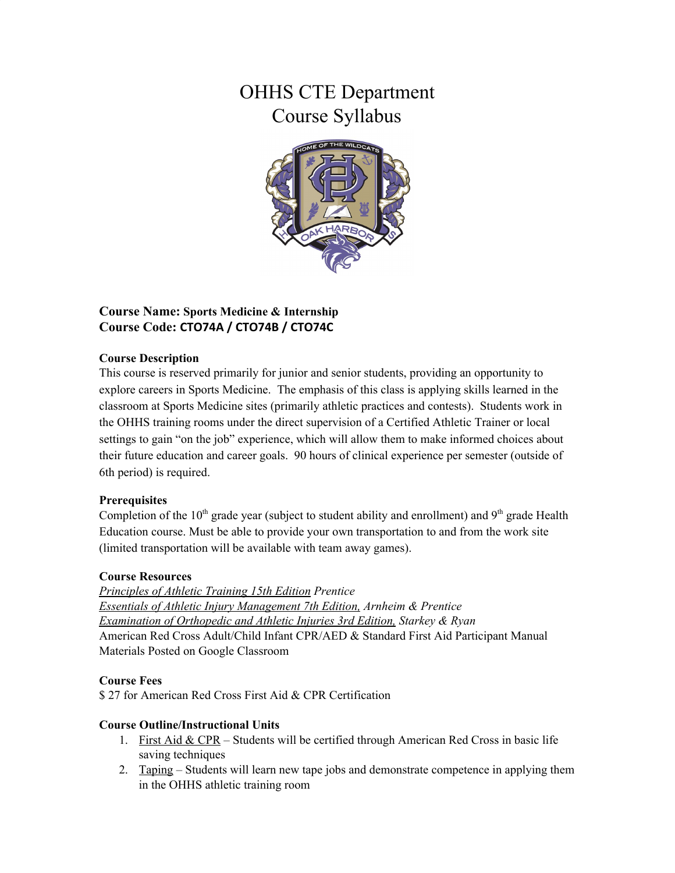# OHHS CTE Department Course Syllabus



## **Course Name: Sports Medicine & Internship Course Code: CTO74A / CTO74B / CTO74C**

## **Course Description**

This course is reserved primarily for junior and senior students, providing an opportunity to explore careers in Sports Medicine. The emphasis of this class is applying skills learned in the classroom at Sports Medicine sites (primarily athletic practices and contests). Students work in the OHHS training rooms under the direct supervision of a Certified Athletic Trainer or local settings to gain "on the job" experience, which will allow them to make informed choices about their future education and career goals. 90 hours of clinical experience per semester (outside of 6th period) is required.

## **Prerequisites**

Completion of the  $10<sup>th</sup>$  grade year (subject to student ability and enrollment) and  $9<sup>th</sup>$  grade Health Education course. Must be able to provide your own transportation to and from the work site (limited transportation will be available with team away games).

## **Course Resources**

*Principles of Athletic Training 15th Edition Prentice Essentials of Athletic Injury Management 7th Edition, Arnheim & Prentice Examination of Orthopedic and Athletic Injuries 3rd Edition, Starkey & Ryan* American Red Cross Adult/Child Infant CPR/AED & Standard First Aid Participant Manual Materials Posted on Google Classroom

## **Course Fees**

\$ 27 for American Red Cross First Aid & CPR Certification

## **Course Outline/Instructional Units**

- 1. First Aid & CPR Students will be certified through American Red Cross in basic life saving techniques
- 2. Taping Students will learn new tape jobs and demonstrate competence in applying them in the OHHS athletic training room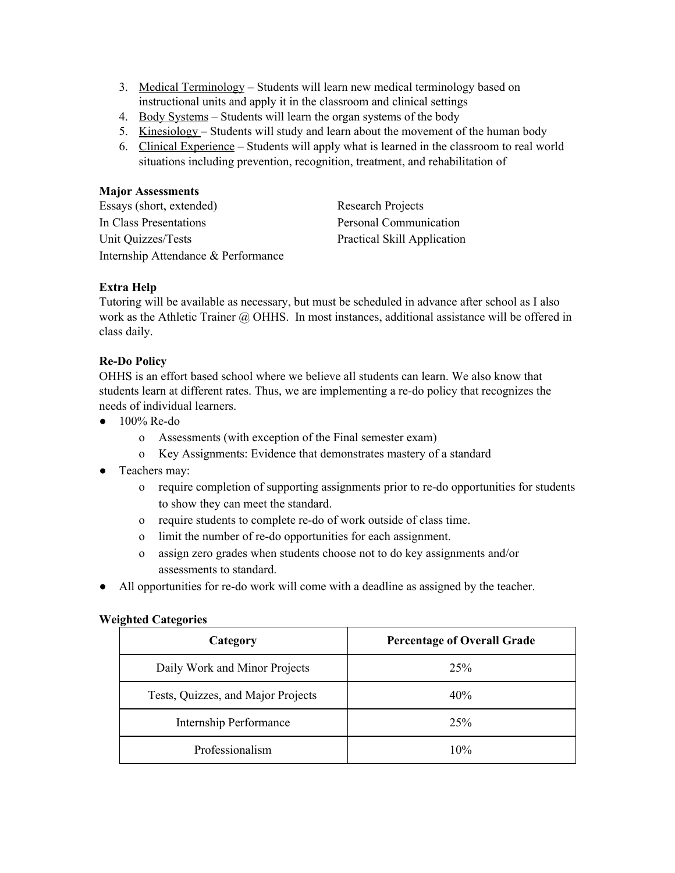- 3. Medical Terminology Students will learn new medical terminology based on instructional units and apply it in the classroom and clinical settings
- 4. Body Systems Students will learn the organ systems of the body
- 5. Kinesiology Students will study and learn about the movement of the human body
- 6. Clinical Experience Students will apply what is learned in the classroom to real world situations including prevention, recognition, treatment, and rehabilitation of

#### **Major Assessments**

| Essays (short, extended)            | <b>Research Projects</b>           |
|-------------------------------------|------------------------------------|
| In Class Presentations              | Personal Communication             |
| Unit Quizzes/Tests                  | <b>Practical Skill Application</b> |
| Internship Attendance & Performance |                                    |

#### **Extra Help**

Tutoring will be available as necessary, but must be scheduled in advance after school as I also work as the Athletic Trainer @ OHHS. In most instances, additional assistance will be offered in class daily.

#### **Re-Do Policy**

OHHS is an effort based school where we believe all students can learn. We also know that students learn at different rates. Thus, we are implementing a re-do policy that recognizes the needs of individual learners.

- $\bullet$  100% Re-do
	- o Assessments (with exception of the Final semester exam)
	- o Key Assignments: Evidence that demonstrates mastery of a standard
- Teachers may:
	- o require completion of supporting assignments prior to re-do opportunities for students to show they can meet the standard.
	- o require students to complete re-do of work outside of class time.
	- o limit the number of re-do opportunities for each assignment.
	- o assign zero grades when students choose not to do key assignments and/or assessments to standard.
- All opportunities for re-do work will come with a deadline as assigned by the teacher.

#### **Weighted Categories**

| Category                           | <b>Percentage of Overall Grade</b> |
|------------------------------------|------------------------------------|
| Daily Work and Minor Projects      | 25%                                |
| Tests, Quizzes, and Major Projects | 40%                                |
| <b>Internship Performance</b>      | 25%                                |
| Professionalism                    | 10%                                |